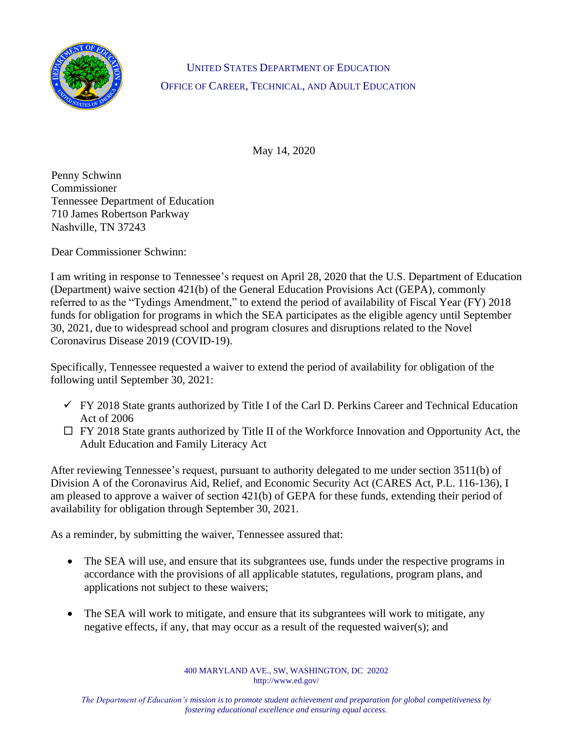

UNITED STATES DEPARTMENT OF EDUCATION OFFICE OF CAREER, TECHNICAL, AND ADULT EDUCATION

May 14, 2020

Penny Schwinn Commissioner Tennessee Department of Education 710 James Robertson Parkway Nashville, TN 37243

Dear Commissioner Schwinn:

I am writing in response to Tennessee's request on April 28, 2020 that the U.S. Department of Education (Department) waive section 421(b) of the General Education Provisions Act (GEPA), commonly referred to as the "Tydings Amendment," to extend the period of availability of Fiscal Year (FY) 2018 funds for obligation for programs in which the SEA participates as the eligible agency until September 30, 2021, due to widespread school and program closures and disruptions related to the Novel Coronavirus Disease 2019 (COVID-19).

Specifically, Tennessee requested a waiver to extend the period of availability for obligation of the following until September 30, 2021:

- $\checkmark$  FY 2018 State grants authorized by Title I of the Carl D. Perkins Career and Technical Education Act of 2006
- $\Box$  FY 2018 State grants authorized by Title II of the Workforce Innovation and Opportunity Act, the Adult Education and Family Literacy Act

After reviewing Tennessee's request, pursuant to authority delegated to me under section 3511(b) of Division A of the Coronavirus Aid, Relief, and Economic Security Act (CARES Act, P.L. 116-136), I am pleased to approve a waiver of section 421(b) of GEPA for these funds, extending their period of availability for obligation through September 30, 2021.

As a reminder, by submitting the waiver, Tennessee assured that:

- The SEA will use, and ensure that its subgrantees use, funds under the respective programs in accordance with the provisions of all applicable statutes, regulations, program plans, and applications not subject to these waivers;
- The SEA will work to mitigate, and ensure that its subgrantees will work to mitigate, any negative effects, if any, that may occur as a result of the requested waiver(s); and

400 MARYLAND AVE., SW, WASHINGTON, DC 20202 http://www.ed.gov/